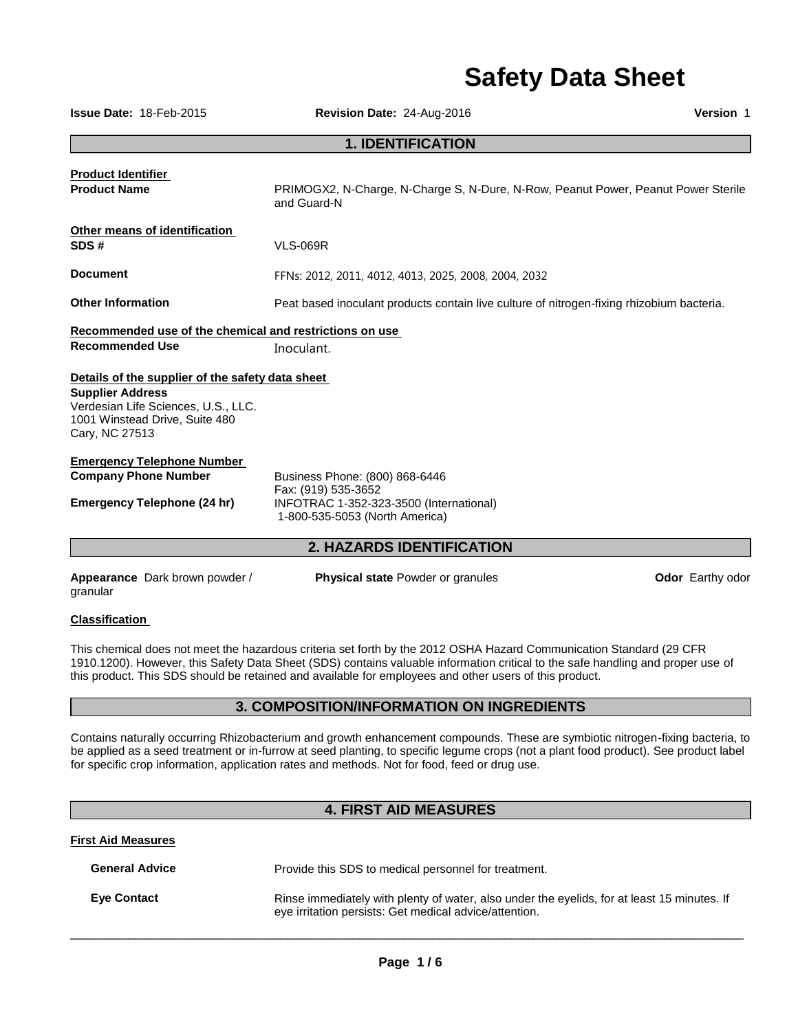# **Safety Data Sheet**

| <b>Issue Date: 18-Feb-2015</b>                                                                                     | Revision Date: 24-Aug-2016                                                                       | Version 1 |
|--------------------------------------------------------------------------------------------------------------------|--------------------------------------------------------------------------------------------------|-----------|
|                                                                                                                    | <b>1. IDENTIFICATION</b>                                                                         |           |
| <b>Product Identifier</b><br><b>Product Name</b>                                                                   | PRIMOGX2, N-Charge, N-Charge S, N-Dure, N-Row, Peanut Power, Peanut Power Sterile<br>and Guard-N |           |
| Other means of identification<br>SDS#                                                                              | <b>VLS-069R</b>                                                                                  |           |
| <b>Document</b>                                                                                                    | FFNs: 2012, 2011, 4012, 4013, 2025, 2008, 2004, 2032                                             |           |
| <b>Other Information</b>                                                                                           | Peat based inoculant products contain live culture of nitrogen-fixing rhizobium bacteria.        |           |
| Recommended use of the chemical and restrictions on use                                                            |                                                                                                  |           |
| <b>Recommended Use</b>                                                                                             | Inoculant.                                                                                       |           |
| Details of the supplier of the safety data sheet                                                                   |                                                                                                  |           |
| <b>Supplier Address</b><br>Verdesian Life Sciences, U.S., LLC.<br>1001 Winstead Drive, Suite 480<br>Cary, NC 27513 |                                                                                                  |           |
| <u>Emergency Telephone Number</u>                                                                                  |                                                                                                  |           |
| <b>Company Phone Number</b>                                                                                        | Business Phone: (800) 868-6446<br>Fax: (919) 535-3652                                            |           |
| Emergency Telephone (24 hr)                                                                                        | INFOTRAC 1-352-323-3500 (International)<br>1-800-535-5053 (North America)                        |           |
|                                                                                                                    | <b>2. HAZARDS IDENTIFICATION</b>                                                                 |           |
|                                                                                                                    |                                                                                                  |           |

**Appearance** Dark brown powder / granular

**Physical state Powder or granules <b>Constant Constant Constant Power Constant Power Constant Power Constant Power** 

#### **Classification**

This chemical does not meet the hazardous criteria set forth by the 2012 OSHA Hazard Communication Standard (29 CFR 1910.1200). However, this Safety Data Sheet (SDS) contains valuable information critical to the safe handling and proper use of this product. This SDS should be retained and available for employees and other users of this product.

#### **3. COMPOSITION/INFORMATION ON INGREDIENTS**

Contains naturally occurring Rhizobacterium and growth enhancement compounds. These are symbiotic nitrogen-fixing bacteria, to be applied as a seed treatment or in-furrow at seed planting, to specific legume crops (not a plant food product). See product label for specific crop information, application rates and methods. Not for food, feed or drug use.

# **4. FIRST AID MEASURES**

#### **First Aid Measures**

| <b>General Advice</b> | Provide this SDS to medical personnel for treatment.                                                                                                  |
|-----------------------|-------------------------------------------------------------------------------------------------------------------------------------------------------|
| <b>Eve Contact</b>    | Rinse immediately with plenty of water, also under the eyelids, for at least 15 minutes. If<br>eye irritation persists: Get medical advice/attention. |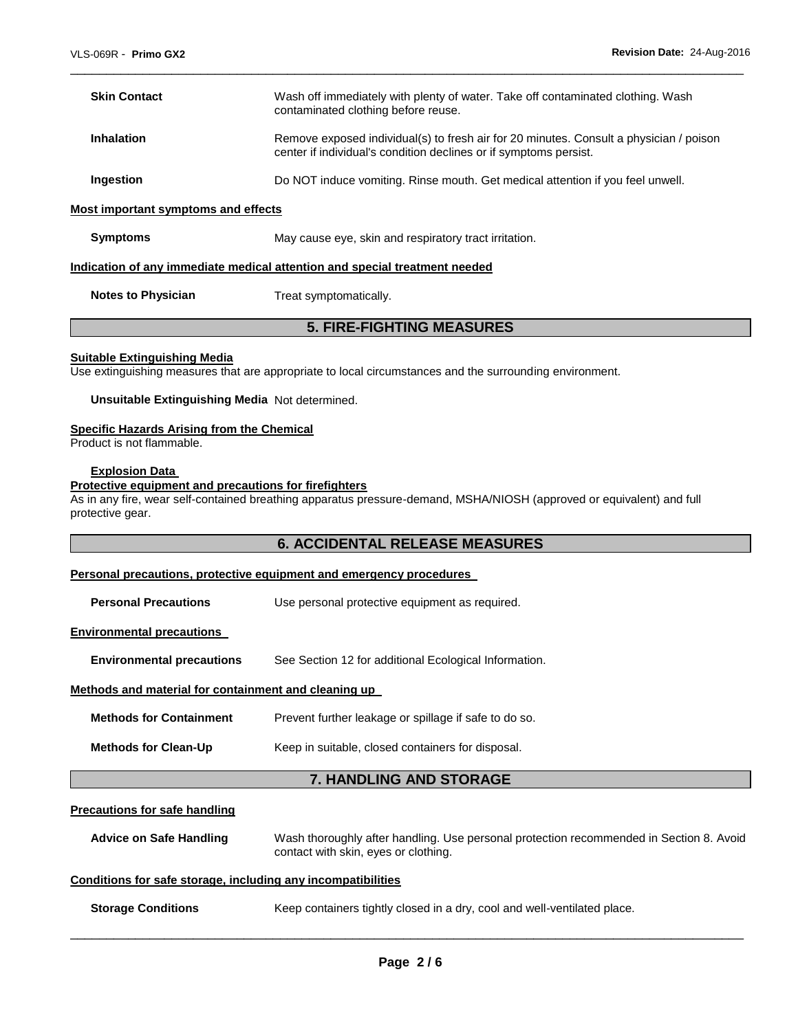| <b>Skin Contact</b> | Wash off immediately with plenty of water. Take off contaminated clothing. Wash<br>contaminated clothing before reuse.                                      |
|---------------------|-------------------------------------------------------------------------------------------------------------------------------------------------------------|
| <b>Inhalation</b>   | Remove exposed individual(s) to fresh air for 20 minutes. Consult a physician / poison<br>center if individual's condition declines or if symptoms persist. |
| Ingestion           | Do NOT induce vomiting. Rinse mouth. Get medical attention if you feel unwell.                                                                              |

\_\_\_\_\_\_\_\_\_\_\_\_\_\_\_\_\_\_\_\_\_\_\_\_\_\_\_\_\_\_\_\_\_\_\_\_\_\_\_\_\_\_\_\_\_\_\_\_\_\_\_\_\_\_\_\_\_\_\_\_\_\_\_\_\_\_\_\_\_\_\_\_\_\_\_\_\_\_\_\_\_\_\_\_\_\_\_\_\_\_\_\_\_

#### **Most important symptoms and effects**

**Symptoms May cause eye, skin and respiratory tract irritation.** 

#### **Indication of any immediate medical attention and special treatment needed**

**Notes to Physician Treat symptomatically.** 

### **5. FIRE-FIGHTING MEASURES**

#### **Suitable Extinguishing Media**

Use extinguishing measures that are appropriate to local circumstances and the surrounding environment.

#### **Unsuitable Extinguishing Media** Not determined.

#### **Specific Hazards Arising from the Chemical**

Product is not flammable.

#### **Explosion Data**

#### **Protective equipment and precautions for firefighters**

As in any fire, wear self-contained breathing apparatus pressure-demand, MSHA/NIOSH (approved or equivalent) and full protective gear.

#### **6. ACCIDENTAL RELEASE MEASURES**

#### **Personal precautions, protective equipment and emergency procedures**

#### **Environmental precautions**

**Environmental precautions** See Section 12 for additional Ecological Information.

#### **Methods and material for containment and cleaning up**

| <b>Methods for Containment</b> | Prevent further leakage or spillage if safe to do so. |
|--------------------------------|-------------------------------------------------------|
|                                |                                                       |

**Methods for Clean-Up Keep in suitable, closed containers for disposal.** 

# **7. HANDLING AND STORAGE**

#### **Precautions for safe handling**

**Advice on Safe Handling** Wash thoroughly after handling. Use personal protection recommended in Section 8. Avoid contact with skin, eyes or clothing.

#### **Conditions for safe storage, including any incompatibilities**

**Storage Conditions Keep containers tightly closed in a dry, cool and well-ventilated place.**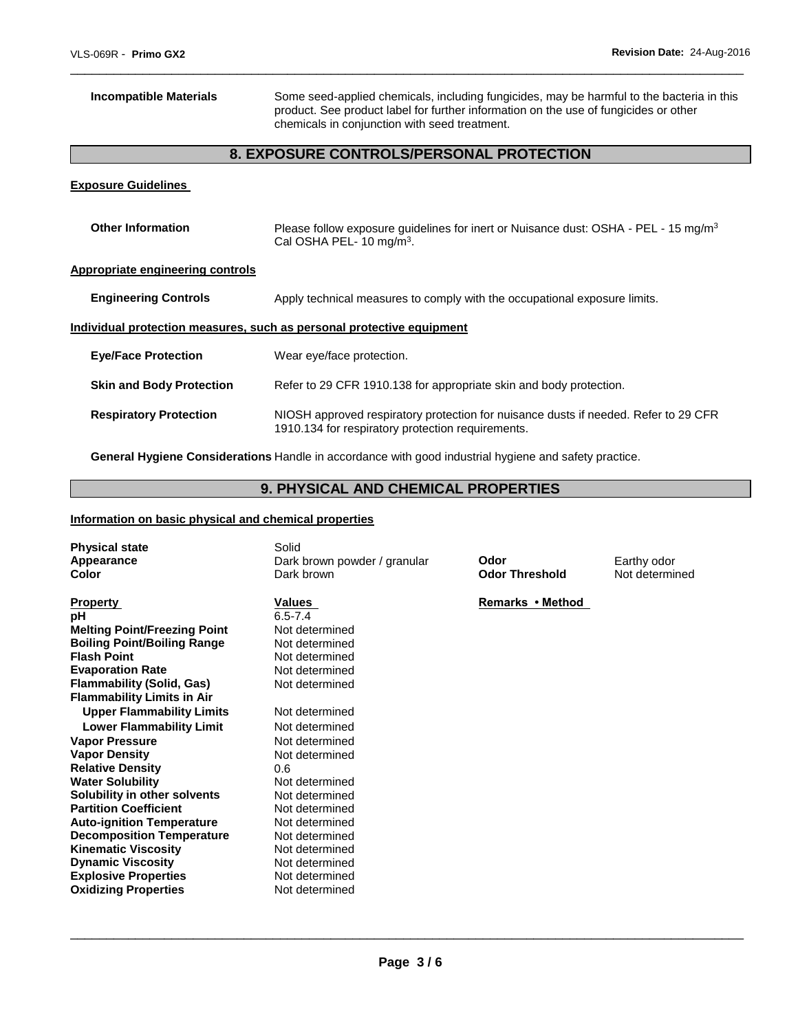**Incompatible Materials** Some seed-applied chemicals, including fungicides, may be harmful to the bacteria in this product. See product label for further information on the use of fungicides or other chemicals in conjunction with seed treatment.

# **8. EXPOSURE CONTROLS/PERSONAL PROTECTION**

\_\_\_\_\_\_\_\_\_\_\_\_\_\_\_\_\_\_\_\_\_\_\_\_\_\_\_\_\_\_\_\_\_\_\_\_\_\_\_\_\_\_\_\_\_\_\_\_\_\_\_\_\_\_\_\_\_\_\_\_\_\_\_\_\_\_\_\_\_\_\_\_\_\_\_\_\_\_\_\_\_\_\_\_\_\_\_\_\_\_\_\_\_

#### **Exposure Guidelines**

| <b>Other Information</b>         | Please follow exposure quidelines for inert or Nuisance dust: OSHA - PEL - 15 mg/m <sup>3</sup><br>Cal OSHA PEL-10 mg/m <sup>3</sup> .   |
|----------------------------------|------------------------------------------------------------------------------------------------------------------------------------------|
| Appropriate engineering controls |                                                                                                                                          |
| <b>Engineering Controls</b>      | Apply technical measures to comply with the occupational exposure limits.                                                                |
|                                  | Individual protection measures, such as personal protective equipment                                                                    |
| <b>Eye/Face Protection</b>       | Wear eye/face protection.                                                                                                                |
| <b>Skin and Body Protection</b>  | Refer to 29 CFR 1910.138 for appropriate skin and body protection.                                                                       |
| <b>Respiratory Protection</b>    | NIOSH approved respiratory protection for nuisance dusts if needed. Refer to 29 CFR<br>1910.134 for respiratory protection requirements. |

**General Hygiene Considerations** Handle in accordance with good industrial hygiene and safety practice.

# **9. PHYSICAL AND CHEMICAL PROPERTIES**

#### **Information on basic physical and chemical properties**

| <b>Physical state</b><br>Appearance<br>Color | Solid<br>Dark brown powder / granular<br>Dark brown | Odor<br><b>Odor Threshold</b> | Earthy odor<br>Not determined |
|----------------------------------------------|-----------------------------------------------------|-------------------------------|-------------------------------|
| <b>Property</b>                              | Values                                              | Remarks • Method              |                               |
| рH                                           | $6.5 - 7.4$                                         |                               |                               |
| <b>Melting Point/Freezing Point</b>          | Not determined                                      |                               |                               |
| <b>Boiling Point/Boiling Range</b>           | Not determined                                      |                               |                               |
| <b>Flash Point</b>                           | Not determined                                      |                               |                               |
| <b>Evaporation Rate</b>                      | Not determined                                      |                               |                               |
| <b>Flammability (Solid, Gas)</b>             | Not determined                                      |                               |                               |
| <b>Flammability Limits in Air</b>            |                                                     |                               |                               |
| <b>Upper Flammability Limits</b>             | Not determined                                      |                               |                               |
| <b>Lower Flammability Limit</b>              | Not determined                                      |                               |                               |
| <b>Vapor Pressure</b>                        | Not determined                                      |                               |                               |
| <b>Vapor Density</b>                         | Not determined                                      |                               |                               |
| <b>Relative Density</b>                      | 0.6                                                 |                               |                               |
| <b>Water Solubility</b>                      | Not determined                                      |                               |                               |
| Solubility in other solvents                 | Not determined                                      |                               |                               |
| <b>Partition Coefficient</b>                 | Not determined                                      |                               |                               |
| <b>Auto-ignition Temperature</b>             | Not determined                                      |                               |                               |
| <b>Decomposition Temperature</b>             | Not determined                                      |                               |                               |
| <b>Kinematic Viscosity</b>                   | Not determined                                      |                               |                               |
| <b>Dynamic Viscosity</b>                     | Not determined                                      |                               |                               |
| <b>Explosive Properties</b>                  | Not determined                                      |                               |                               |
| <b>Oxidizing Properties</b>                  | Not determined                                      |                               |                               |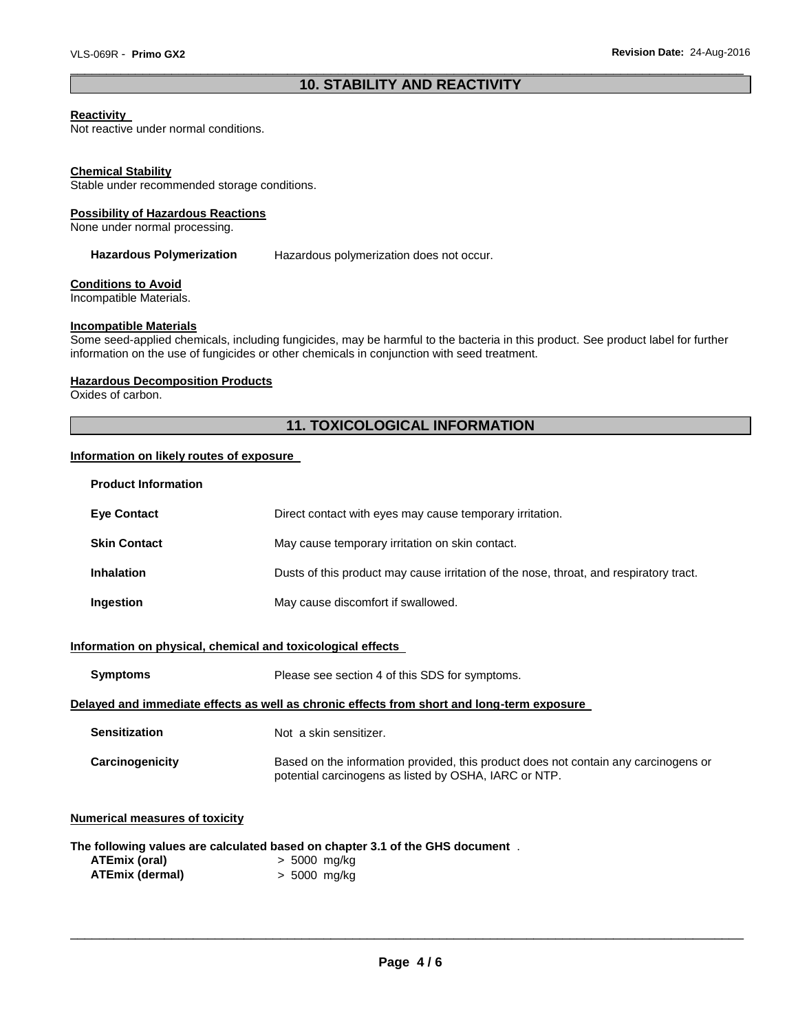#### \_\_\_\_\_\_\_\_\_\_\_\_\_\_\_\_\_\_\_\_\_\_\_\_\_\_\_\_\_\_\_\_\_\_\_\_\_\_\_\_\_\_\_\_\_\_\_\_\_\_\_\_\_\_\_\_\_\_\_\_\_\_\_\_\_\_\_\_\_\_\_\_\_\_\_\_\_\_\_\_\_\_\_\_\_\_\_\_\_\_\_\_\_ **10. STABILITY AND REACTIVITY**

#### **Reactivity**

Not reactive under normal conditions.

#### **Chemical Stability**

Stable under recommended storage conditions.

#### **Possibility of Hazardous Reactions**

None under normal processing.

Hazardous Polymerization Hazardous polymerization does not occur.

#### **Conditions to Avoid**

Incompatible Materials.

#### **Incompatible Materials**

Some seed-applied chemicals, including fungicides, may be harmful to the bacteria in this product. See product label for further information on the use of fungicides or other chemicals in conjunction with seed treatment.

#### **Hazardous Decomposition Products**

Oxides of carbon.

# **11. TOXICOLOGICAL INFORMATION**

#### **Information on likely routes of exposure**

| <b>Product Information</b> |                                                                                        |
|----------------------------|----------------------------------------------------------------------------------------|
| <b>Eve Contact</b>         | Direct contact with eyes may cause temporary irritation.                               |
| <b>Skin Contact</b>        | May cause temporary irritation on skin contact.                                        |
| <b>Inhalation</b>          | Dusts of this product may cause irritation of the nose, throat, and respiratory tract. |
| Ingestion                  | May cause discomfort if swallowed.                                                     |

#### **Information on physical, chemical and toxicological effects**

| <b>Symptoms</b>      | Please see section 4 of this SDS for symptoms.                                                                                               |
|----------------------|----------------------------------------------------------------------------------------------------------------------------------------------|
|                      | Delaved and immediate effects as well as chronic effects from short and long-term exposure                                                   |
| <b>Sensitization</b> | Not a skin sensitizer.                                                                                                                       |
| Carcinogenicity      | Based on the information provided, this product does not contain any carcinogens or<br>potential carcinogens as listed by OSHA, IARC or NTP. |

## **Numerical measures of toxicity**

| The following values are calculated based on chapter 3.1 of the GHS document. |  |  |  |  |  |  |  |  |
|-------------------------------------------------------------------------------|--|--|--|--|--|--|--|--|
|-------------------------------------------------------------------------------|--|--|--|--|--|--|--|--|

| ATEmix (oral)   | $> 5000$ mg/kg |
|-----------------|----------------|
| ATEmix (dermal) | $> 5000$ mg/kg |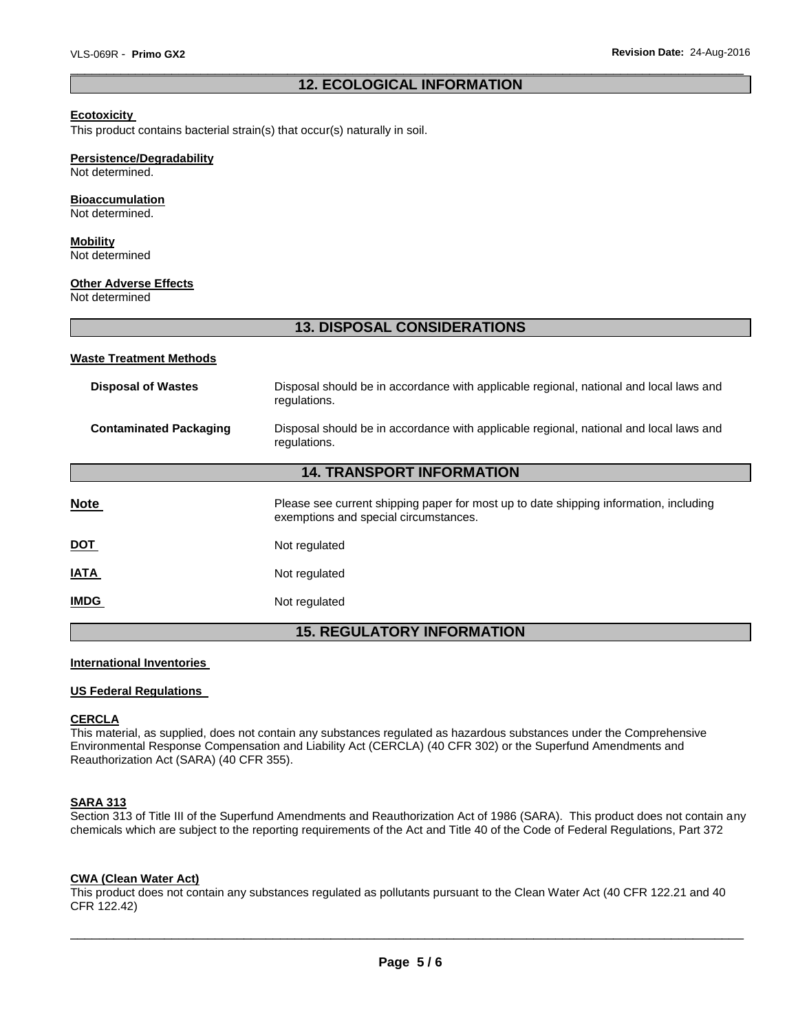#### \_\_\_\_\_\_\_\_\_\_\_\_\_\_\_\_\_\_\_\_\_\_\_\_\_\_\_\_\_\_\_\_\_\_\_\_\_\_\_\_\_\_\_\_\_\_\_\_\_\_\_\_\_\_\_\_\_\_\_\_\_\_\_\_\_\_\_\_\_\_\_\_\_\_\_\_\_\_\_\_\_\_\_\_\_\_\_\_\_\_\_\_\_ **12. ECOLOGICAL INFORMATION**

#### **Ecotoxicity**

This product contains bacterial strain(s) that occur(s) naturally in soil.

#### **Persistence/Degradability**

Not determined.

#### **Bioaccumulation**

Not determined.

# **Mobility**

Not determined

#### **Other Adverse Effects**

Not determined

# **13. DISPOSAL CONSIDERATIONS**

#### **Waste Treatment Methods**

| <b>Disposal of Wastes</b>        | Disposal should be in accordance with applicable regional, national and local laws and<br>regulations.                         |  |  |
|----------------------------------|--------------------------------------------------------------------------------------------------------------------------------|--|--|
| <b>Contaminated Packaging</b>    | Disposal should be in accordance with applicable regional, national and local laws and<br>regulations.                         |  |  |
| <b>14. TRANSPORT INFORMATION</b> |                                                                                                                                |  |  |
| <b>Note</b>                      | Please see current shipping paper for most up to date shipping information, including<br>exemptions and special circumstances. |  |  |
| <u>DOT</u>                       | Not regulated                                                                                                                  |  |  |
| <b>IATA</b>                      | Not regulated                                                                                                                  |  |  |
| <b>IMDG</b>                      | Not regulated                                                                                                                  |  |  |

### **15. REGULATORY INFORMATION**

#### **International Inventories**

#### **US Federal Regulations**

#### **CERCLA**

This material, as supplied, does not contain any substances regulated as hazardous substances under the Comprehensive Environmental Response Compensation and Liability Act (CERCLA) (40 CFR 302) or the Superfund Amendments and Reauthorization Act (SARA) (40 CFR 355).

#### **SARA 313**

Section 313 of Title III of the Superfund Amendments and Reauthorization Act of 1986 (SARA). This product does not contain any chemicals which are subject to the reporting requirements of the Act and Title 40 of the Code of Federal Regulations, Part 372

#### **CWA (Clean Water Act)**

This product does not contain any substances regulated as pollutants pursuant to the Clean Water Act (40 CFR 122.21 and 40 CFR 122.42)